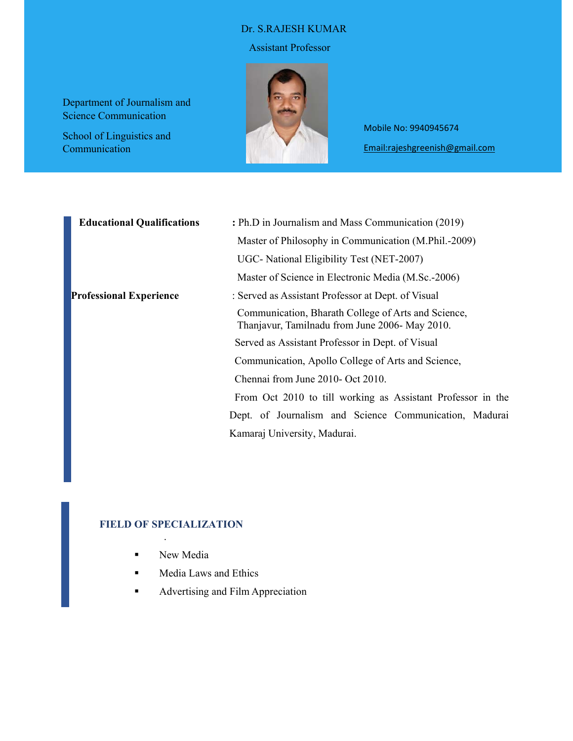#### Dr. S.RAJESH KUMAR

#### Assistant Professor

Department of Journalism and Science Communication

School of Linguistics and Communication



Mobile No: 9940945674 Email:rajeshgreenish@gmail.com

| <b>Educational Qualifications</b> | : Ph.D in Journalism and Mass Communication (2019)                                                    |  |  |  |  |
|-----------------------------------|-------------------------------------------------------------------------------------------------------|--|--|--|--|
|                                   | Master of Philosophy in Communication (M.Phil.-2009)                                                  |  |  |  |  |
|                                   | UGC- National Eligibility Test (NET-2007)                                                             |  |  |  |  |
|                                   | Master of Science in Electronic Media (M.Sc.-2006)                                                    |  |  |  |  |
| <b>Professional Experience</b>    | : Served as Assistant Professor at Dept. of Visual                                                    |  |  |  |  |
|                                   | Communication, Bharath College of Arts and Science,<br>Thanjavur, Tamilnadu from June 2006- May 2010. |  |  |  |  |
|                                   | Served as Assistant Professor in Dept. of Visual                                                      |  |  |  |  |
|                                   | Communication, Apollo College of Arts and Science,                                                    |  |  |  |  |
|                                   | Chennai from June 2010- Oct 2010.                                                                     |  |  |  |  |
|                                   | From Oct 2010 to till working as Assistant Professor in the                                           |  |  |  |  |
|                                   | Dept. of Journalism and Science Communication, Madurai                                                |  |  |  |  |
|                                   | Kamaraj University, Madurai.                                                                          |  |  |  |  |

## **FIELD OF SPECIALIZATION**

.

- **New Media**
- **Media Laws and Ethics**
- **Advertising and Film Appreciation**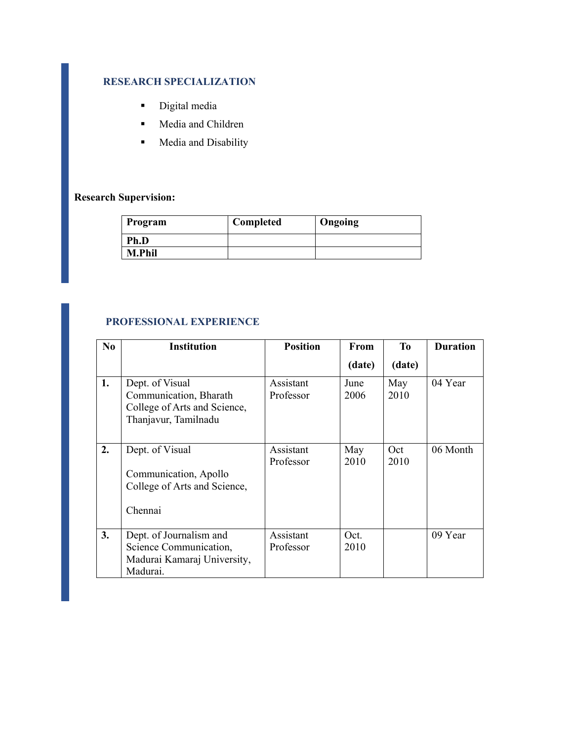## **RESEARCH SPECIALIZATION**

- **Digital media**
- **Media and Children**
- **Media and Disability**

# **Research Supervision:**

| Program       | Completed | Ongoing |
|---------------|-----------|---------|
| Ph.D          |           |         |
| <b>M.Phil</b> |           |         |

# **PROFESSIONAL EXPERIENCE**

| N <sub>0</sub> | <b>Institution</b>                                                                                | <b>Position</b>        | From         | T <sub>0</sub> | <b>Duration</b> |
|----------------|---------------------------------------------------------------------------------------------------|------------------------|--------------|----------------|-----------------|
|                |                                                                                                   |                        | (date)       | (date)         |                 |
| 1.             | Dept. of Visual<br>Communication, Bharath<br>College of Arts and Science,<br>Thanjavur, Tamilnadu | Assistant<br>Professor | June<br>2006 | May<br>2010    | 04 Year         |
| 2.             | Dept. of Visual<br>Communication, Apollo<br>College of Arts and Science,<br>Chennai               | Assistant<br>Professor | May<br>2010  | Oct<br>2010    | 06 Month        |
| 3.             | Dept. of Journalism and<br>Science Communication,<br>Madurai Kamaraj University,<br>Madurai.      | Assistant<br>Professor | Oct.<br>2010 |                | 09 Year         |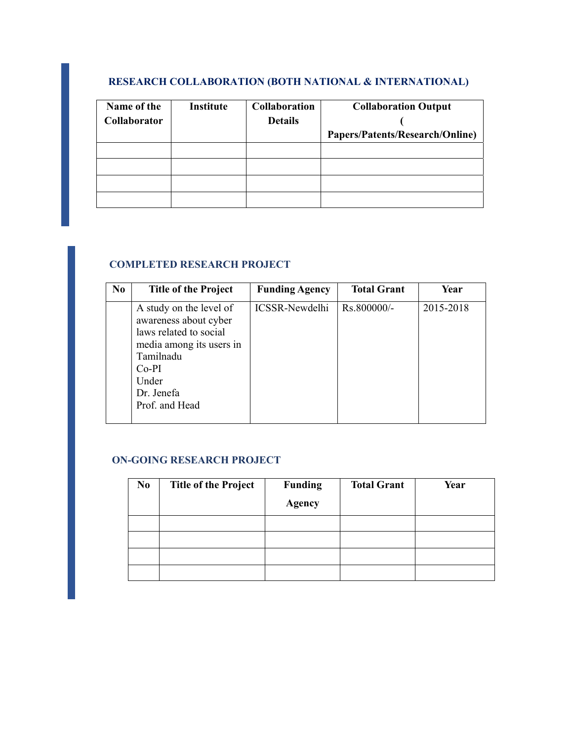## **RESEARCH COLLABORATION (BOTH NATIONAL & INTERNATIONAL)**

| Name of the  | <b>Institute</b> | <b>Collaboration</b> | <b>Collaboration Output</b>     |
|--------------|------------------|----------------------|---------------------------------|
| Collaborator |                  | <b>Details</b>       |                                 |
|              |                  |                      | Papers/Patents/Research/Online) |
|              |                  |                      |                                 |
|              |                  |                      |                                 |
|              |                  |                      |                                 |
|              |                  |                      |                                 |

## **COMPLETED RESEARCH PROJECT**

| N <sub>0</sub> | <b>Title of the Project</b>                                                                                                                                             | <b>Funding Agency</b> | <b>Total Grant</b> | Year      |
|----------------|-------------------------------------------------------------------------------------------------------------------------------------------------------------------------|-----------------------|--------------------|-----------|
|                | A study on the level of<br>awareness about cyber<br>laws related to social<br>media among its users in<br>Tamilnadu<br>$Co-PI$<br>Under<br>Dr. Jenefa<br>Prof. and Head | <b>ICSSR-Newdelhi</b> | Rs.800000/-        | 2015-2018 |

## **ON-GOING RESEARCH PROJECT**

| N <sub>0</sub> | <b>Title of the Project</b> | <b>Funding</b><br><b>Agency</b> | <b>Total Grant</b> | Year |
|----------------|-----------------------------|---------------------------------|--------------------|------|
|                |                             |                                 |                    |      |
|                |                             |                                 |                    |      |
|                |                             |                                 |                    |      |
|                |                             |                                 |                    |      |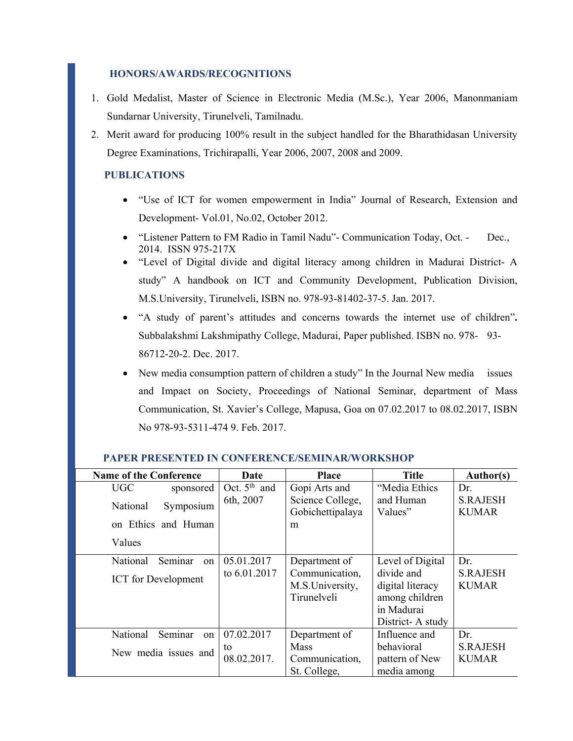#### **HONORS/AWARDS/RECOGNITIONS**

- 1. Gold Medalist, Master of Science in Electronic Media (M.Sc.), Year 2006, Manonmaniam Sundarnar University, Tirunelveli, Tamilnadu.
- 2. Merit award for producing 100% result in the subject handled for the Bharathidasan University Degree Examinations, Trichirapalli, Year 2006, 2007, 2008 and 2009.

## **PUBLICATIONS**

- "Use of ICT for women empowerment in India" Journal of Research, Extension and Development- Vol.01, No.02, October 2012.
- "Listener Pattern to FM Radio in Tamil Nadu"- Communication Today, Oct. Dec., 2014. ISSN 975-217X
- "Level of Digital divide and digital literacy among children in Madurai District- A study" A handbook on ICT and Community Development, Publication Division, M.S.University, Tirunelveli, ISBN no. 978-93-81402-37-5. Jan. 2017.
- "A study of parent's attitudes and concerns towards the internet use of children"**.**  Subbalakshmi Lakshmipathy College, Madurai, Paper published. ISBN no. 978- 93- 86712-20-2. Dec. 2017.
- New media consumption pattern of children a study" In the Journal New media issues and Impact on Society, Proceedings of National Seminar, department of Mass Communication, St. Xavier's College, Mapusa, Goa on 07.02.2017 to 08.02.2017, ISBN No 978-93-5311-474 9. Feb. 2017.

| <b>Name of the Conference</b> | Date              | <b>Place</b>                                     | <b>Title</b>                                                                       | Author(s)                       |
|-------------------------------|-------------------|--------------------------------------------------|------------------------------------------------------------------------------------|---------------------------------|
| UGC<br>sponsored              | Oct. $5th$ and    | Gopi Arts and                                    | "Media Ethics                                                                      | Dr.                             |
| Symposium<br>National         | 6th, 2007         | Science College,<br>Gobichettipalaya             | and Human<br>Values"                                                               | <b>S.RAJESH</b><br><b>KUMAR</b> |
| on Ethics and Human           |                   | m                                                |                                                                                    |                                 |
| Values                        |                   |                                                  |                                                                                    |                                 |
| National<br>Seminar<br>on     | 05.01.2017        | Department of                                    | Level of Digital                                                                   | Dr.                             |
| <b>ICT</b> for Development    | to 6.01.2017      | Communication,<br>M.S.University,<br>Tirunelveli | divide and<br>digital literacy<br>among children<br>in Madurai<br>District-A study | <b>S.RAJESH</b><br><b>KUMAR</b> |
| Seminar<br>National<br>on     | 07.02.2017        | Department of                                    | Influence and                                                                      | Dr.                             |
| New media issues and          | to<br>08.02.2017. | <b>Mass</b><br>Communication,                    | behavioral<br>pattern of New                                                       | <b>S.RAJESH</b><br><b>KUMAR</b> |
|                               |                   | St. College,                                     | media among                                                                        |                                 |

#### **PAPER PRESENTED IN CONFERENCE/SEMINAR/WORKSHOP**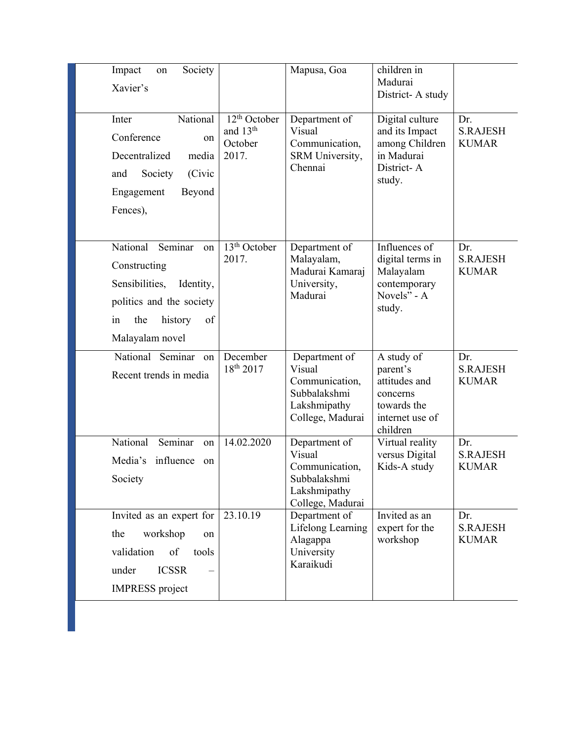| Society<br>Impact<br>on<br>Xavier's                                                                                                                   |                                                                      | Mapusa, Goa                                                                                   | children in<br>Madurai<br>District-A study                                                        |                                        |
|-------------------------------------------------------------------------------------------------------------------------------------------------------|----------------------------------------------------------------------|-----------------------------------------------------------------------------------------------|---------------------------------------------------------------------------------------------------|----------------------------------------|
| National<br>Inter<br>Conference<br>on<br>Decentralized<br>media<br>(Civic<br>and<br>Society<br>Beyond<br>Engagement<br>Fences),                       | 12 <sup>th</sup> October<br>and 13 <sup>th</sup><br>October<br>2017. | Department of<br>Visual<br>Communication,<br>SRM University,<br>Chennai                       | Digital culture<br>and its Impact<br>among Children<br>in Madurai<br>District-A<br>study.         | Dr.<br><b>S.RAJESH</b><br><b>KUMAR</b> |
| National<br>Seminar<br>on<br>Constructing<br>Sensibilities,<br>Identity,<br>politics and the society<br>history<br>the<br>of<br>in<br>Malayalam novel | 13 <sup>th</sup> October<br>2017.                                    | Department of<br>Malayalam,<br>Madurai Kamaraj<br>University,<br>Madurai                      | Influences of<br>digital terms in<br>Malayalam<br>contemporary<br>Novels" - A<br>study.           | Dr.<br><b>S.RAJESH</b><br><b>KUMAR</b> |
| National Seminar on<br>Recent trends in media                                                                                                         | December<br>18 <sup>th</sup> 2017                                    | Department of<br>Visual<br>Communication,<br>Subbalakshmi<br>Lakshmipathy<br>College, Madurai | A study of<br>parent's<br>attitudes and<br>concerns<br>towards the<br>internet use of<br>children | Dr.<br><b>S.RAJESH</b><br><b>KUMAR</b> |
| National<br>Seminar<br>on<br>Media's<br>influence<br>on<br>Society                                                                                    | 14.02.2020                                                           | Department of<br>Visual<br>Communication,<br>Subbalakshmi<br>Lakshmipathy<br>College, Madurai | Virtual reality<br>versus Digital<br>Kids-A study                                                 | Dr.<br><b>S.RAJESH</b><br><b>KUMAR</b> |
| Invited as an expert for<br>the<br>workshop<br>on<br>validation<br>of<br>tools<br><b>ICSSR</b><br>under<br><b>IMPRESS</b> project                     | 23.10.19                                                             | Department of<br>Lifelong Learning<br>Alagappa<br>University<br>Karaikudi                     | Invited as an<br>expert for the<br>workshop                                                       | Dr.<br><b>S.RAJESH</b><br><b>KUMAR</b> |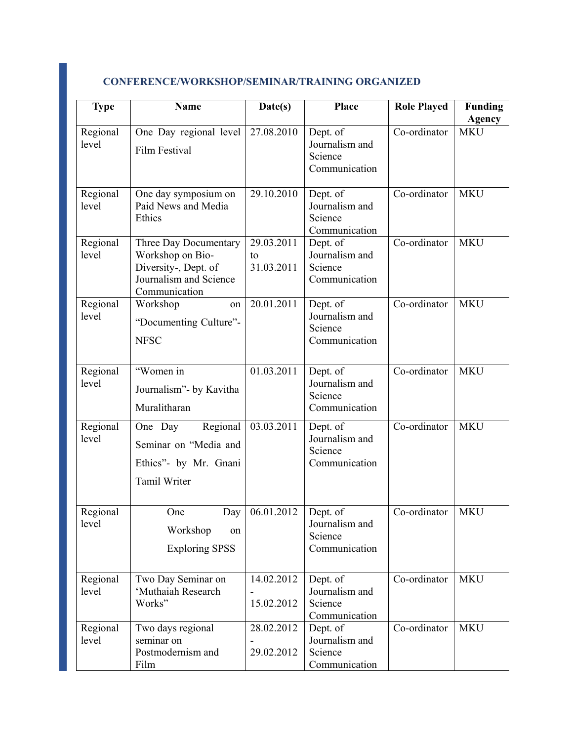| <b>Type</b>       | <b>Name</b>                                                                                                  | Date(s)                        | <b>Place</b>                                           | <b>Role Played</b> | <b>Funding</b><br><b>Agency</b> |
|-------------------|--------------------------------------------------------------------------------------------------------------|--------------------------------|--------------------------------------------------------|--------------------|---------------------------------|
| Regional<br>level | One Day regional level<br>Film Festival                                                                      | 27.08.2010                     | Dept. of<br>Journalism and<br>Science<br>Communication | Co-ordinator       | <b>MKU</b>                      |
| Regional<br>level | One day symposium on<br>Paid News and Media<br>Ethics                                                        | 29.10.2010                     | Dept. of<br>Journalism and<br>Science<br>Communication | Co-ordinator       | <b>MKU</b>                      |
| Regional<br>level | Three Day Documentary<br>Workshop on Bio-<br>Diversity-, Dept. of<br>Journalism and Science<br>Communication | 29.03.2011<br>to<br>31.03.2011 | Dept. of<br>Journalism and<br>Science<br>Communication | Co-ordinator       | <b>MKU</b>                      |
| Regional<br>level | Workshop<br>on<br>"Documenting Culture"-<br><b>NFSC</b>                                                      | 20.01.2011                     | Dept. of<br>Journalism and<br>Science<br>Communication | Co-ordinator       | <b>MKU</b>                      |
| Regional<br>level | "Women in<br>Journalism" - by Kavitha<br>Muralitharan                                                        | 01.03.2011                     | Dept. of<br>Journalism and<br>Science<br>Communication | Co-ordinator       | <b>MKU</b>                      |
| Regional<br>level | One Day<br>Regional<br>Seminar on "Media and<br>Ethics"- by Mr. Gnani<br>Tamil Writer                        | 03.03.2011                     | Dept. of<br>Journalism and<br>Science<br>Communication | Co-ordinator       | <b>MKU</b>                      |
| Regional<br>level | One<br>Day<br>Workshop<br>on<br><b>Exploring SPSS</b>                                                        | 06.01.2012                     | Dept. of<br>Journalism and<br>Science<br>Communication | Co-ordinator       | <b>MKU</b>                      |
| Regional<br>level | Two Day Seminar on<br>'Muthaiah Research<br>Works"                                                           | 14.02.2012<br>15.02.2012       | Dept. of<br>Journalism and<br>Science<br>Communication | Co-ordinator       | <b>MKU</b>                      |
| Regional<br>level | Two days regional<br>seminar on<br>Postmodernism and<br>Film                                                 | 28.02.2012<br>29.02.2012       | Dept. of<br>Journalism and<br>Science<br>Communication | Co-ordinator       | <b>MKU</b>                      |

## **CONFERENCE/WORKSHOP/SEMINAR/TRAINING ORGANIZED**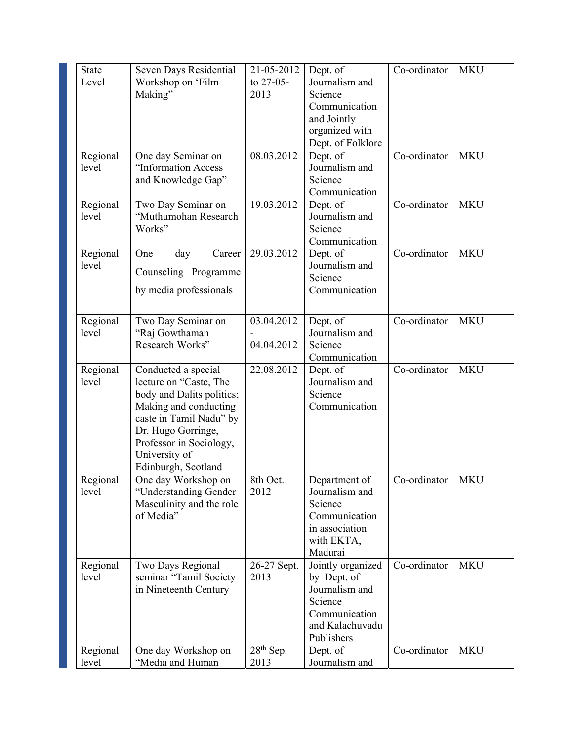| <b>State</b><br>Level | Seven Days Residential<br>Workshop on 'Film        | 21-05-2012<br>to 27-05- | Dept. of<br>Journalism and          | Co-ordinator | <b>MKU</b> |
|-----------------------|----------------------------------------------------|-------------------------|-------------------------------------|--------------|------------|
|                       | Making"                                            | 2013                    | Science<br>Communication            |              |            |
|                       |                                                    |                         | and Jointly                         |              |            |
|                       |                                                    |                         | organized with<br>Dept. of Folklore |              |            |
| Regional              | One day Seminar on                                 | 08.03.2012              | Dept. of                            | Co-ordinator | <b>MKU</b> |
| level                 | "Information Access                                |                         | Journalism and                      |              |            |
|                       | and Knowledge Gap"                                 |                         | Science<br>Communication            |              |            |
| Regional              | Two Day Seminar on                                 | 19.03.2012              | Dept. of                            | Co-ordinator | <b>MKU</b> |
| level                 | "Muthumohan Research                               |                         | Journalism and                      |              |            |
|                       | Works"                                             |                         | Science<br>Communication            |              |            |
| Regional              | One<br>day<br>Career                               | 29.03.2012              | Dept. of                            | Co-ordinator | <b>MKU</b> |
| level                 | Counseling Programme                               |                         | Journalism and                      |              |            |
|                       |                                                    |                         | Science                             |              |            |
|                       | by media professionals                             |                         | Communication                       |              |            |
| Regional              | Two Day Seminar on                                 | 03.04.2012              | Dept. of                            | Co-ordinator | <b>MKU</b> |
| level                 | "Raj Gowthaman                                     |                         | Journalism and                      |              |            |
|                       | Research Works"                                    | 04.04.2012              | Science<br>Communication            |              |            |
| Regional              | Conducted a special                                | 22.08.2012              | Dept. of                            | Co-ordinator | <b>MKU</b> |
| level                 | lecture on "Caste, The                             |                         | Journalism and                      |              |            |
|                       | body and Dalits politics;<br>Making and conducting |                         | Science<br>Communication            |              |            |
|                       | caste in Tamil Nadu" by                            |                         |                                     |              |            |
|                       | Dr. Hugo Gorringe,                                 |                         |                                     |              |            |
|                       | Professor in Sociology,                            |                         |                                     |              |            |
|                       | University of<br>Edinburgh, Scotland               |                         |                                     |              |            |
| Regional              | One day Workshop on                                | 8th Oct.                | Department of                       | Co-ordinator | MKU        |
| level                 | "Understanding Gender                              | 2012                    | Journalism and                      |              |            |
|                       | Masculinity and the role<br>of Media"              |                         | Science<br>Communication            |              |            |
|                       |                                                    |                         | in association                      |              |            |
|                       |                                                    |                         | with EKTA,                          |              |            |
| Regional              | Two Days Regional                                  | 26-27 Sept.             | Madurai<br>Jointly organized        | Co-ordinator | <b>MKU</b> |
| level                 | seminar "Tamil Society                             | 2013                    | by Dept. of                         |              |            |
|                       | in Nineteenth Century                              |                         | Journalism and                      |              |            |
|                       |                                                    |                         | Science<br>Communication            |              |            |
|                       |                                                    |                         | and Kalachuvadu                     |              |            |
|                       |                                                    |                         | Publishers                          |              |            |
| Regional              | One day Workshop on                                | 28 <sup>th</sup> Sep.   | Dept. of                            | Co-ordinator | <b>MKU</b> |
| level                 | "Media and Human                                   | 2013                    | Journalism and                      |              |            |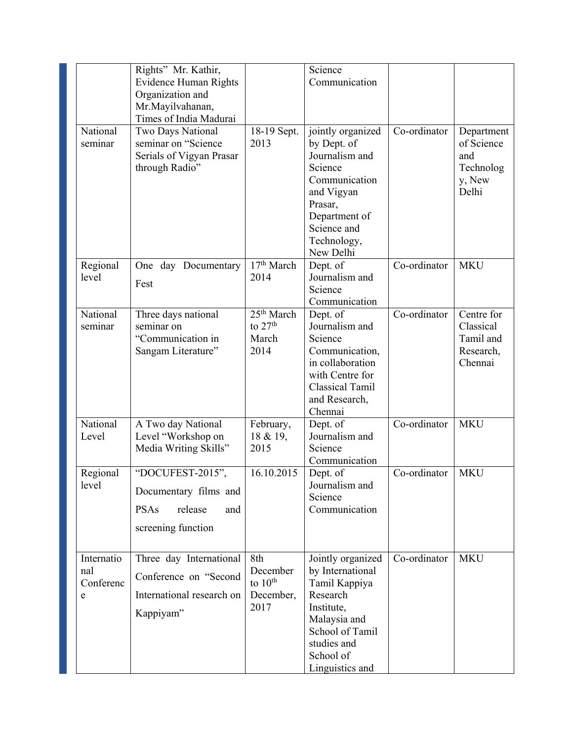|                                     | Rights" Mr. Kathir,<br>Evidence Human Rights<br>Organization and<br>Mr.Mayilvahanan,<br>Times of India Madurai |                                                      | Science<br>Communication                                                                                                                                            |              |                                                                 |
|-------------------------------------|----------------------------------------------------------------------------------------------------------------|------------------------------------------------------|---------------------------------------------------------------------------------------------------------------------------------------------------------------------|--------------|-----------------------------------------------------------------|
| National<br>seminar                 | Two Days National<br>seminar on "Science<br>Serials of Vigyan Prasar<br>through Radio"                         | 18-19 Sept.<br>2013                                  | jointly organized<br>by Dept. of<br>Journalism and<br>Science<br>Communication<br>and Vigyan<br>Prasar,<br>Department of<br>Science and<br>Technology,<br>New Delhi | Co-ordinator | Department<br>of Science<br>and<br>Technolog<br>y, New<br>Delhi |
| Regional<br>level                   | One day Documentary<br>Fest                                                                                    | 17 <sup>th</sup> March<br>2014                       | Dept. of<br>Journalism and<br>Science<br>Communication                                                                                                              | Co-ordinator | <b>MKU</b>                                                      |
| National<br>seminar                 | Three days national<br>seminar on<br>"Communication in<br>Sangam Literature"                                   | 25 <sup>th</sup> March<br>to $27th$<br>March<br>2014 | Dept. of<br>Journalism and<br>Science<br>Communication,<br>in collaboration<br>with Centre for<br>Classical Tamil<br>and Research,<br>Chennai                       | Co-ordinator | Centre for<br>Classical<br>Tamil and<br>Research,<br>Chennai    |
| National<br>Level                   | A Two day National<br>Level "Workshop on<br>Media Writing Skills"                                              | February,<br>18 & 19,<br>2015                        | Dept. of<br>Journalism and<br>Science<br>Communication                                                                                                              | Co-ordinator | <b>MKU</b>                                                      |
| Regional<br>level                   | "DOCUFEST-2015",<br>Documentary films and<br><b>PSAs</b><br>release<br>and<br>screening function               | 16.10.2015                                           | Dept. of<br>Journalism and<br>Science<br>Communication                                                                                                              | Co-ordinator | <b>MKU</b>                                                      |
| Internatio<br>nal<br>Conferenc<br>e | Three day International<br>Conference on "Second<br>International research on<br>Kappiyam"                     | 8th<br>December<br>to $10th$<br>December,<br>2017    | Jointly organized<br>by International<br>Tamil Kappiya<br>Research<br>Institute,<br>Malaysia and<br>School of Tamil<br>studies and<br>School of<br>Linguistics and  | Co-ordinator | <b>MKU</b>                                                      |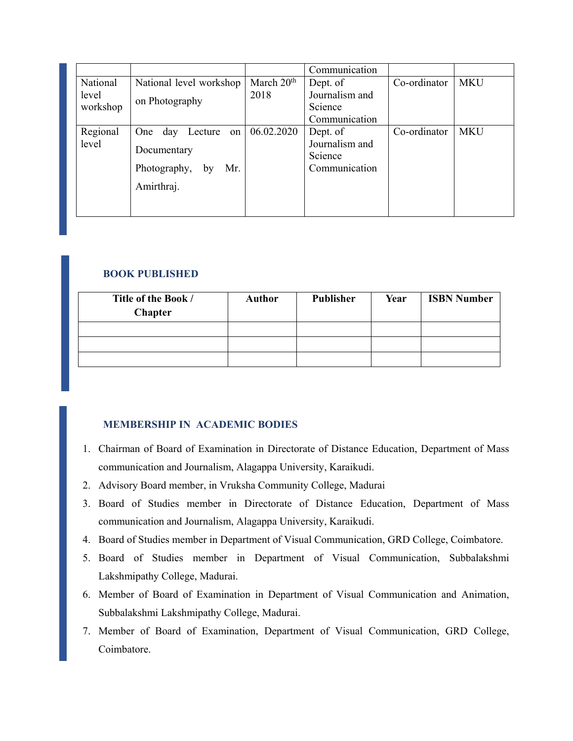|                               |                                                                                    |                      | Communication                                          |              |            |
|-------------------------------|------------------------------------------------------------------------------------|----------------------|--------------------------------------------------------|--------------|------------|
| National<br>level<br>workshop | National level workshop<br>on Photography                                          | March $20th$<br>2018 | Dept. of<br>Journalism and<br>Science                  | Co-ordinator | MKU        |
|                               |                                                                                    |                      | Communication                                          |              |            |
| Regional<br>level             | One day<br>Lecture<br>on<br>Documentary<br>Photography,<br>Mr.<br>by<br>Amirthraj. | 06.02.2020           | Dept. of<br>Journalism and<br>Science<br>Communication | Co-ordinator | <b>MKU</b> |

### **BOOK PUBLISHED**

| Title of the Book /<br><b>Chapter</b> | <b>Author</b> | Publisher | Year | <b>ISBN Number</b> |
|---------------------------------------|---------------|-----------|------|--------------------|
|                                       |               |           |      |                    |
|                                       |               |           |      |                    |
|                                       |               |           |      |                    |

## **MEMBERSHIP IN ACADEMIC BODIES**

- 1. Chairman of Board of Examination in Directorate of Distance Education, Department of Mass communication and Journalism, Alagappa University, Karaikudi.
- 2. Advisory Board member, in Vruksha Community College, Madurai
- 3. Board of Studies member in Directorate of Distance Education, Department of Mass communication and Journalism, Alagappa University, Karaikudi.
- 4. Board of Studies member in Department of Visual Communication, GRD College, Coimbatore.
- 5. Board of Studies member in Department of Visual Communication, Subbalakshmi Lakshmipathy College, Madurai.
- 6. Member of Board of Examination in Department of Visual Communication and Animation, Subbalakshmi Lakshmipathy College, Madurai.
- 7. Member of Board of Examination, Department of Visual Communication, GRD College, Coimbatore.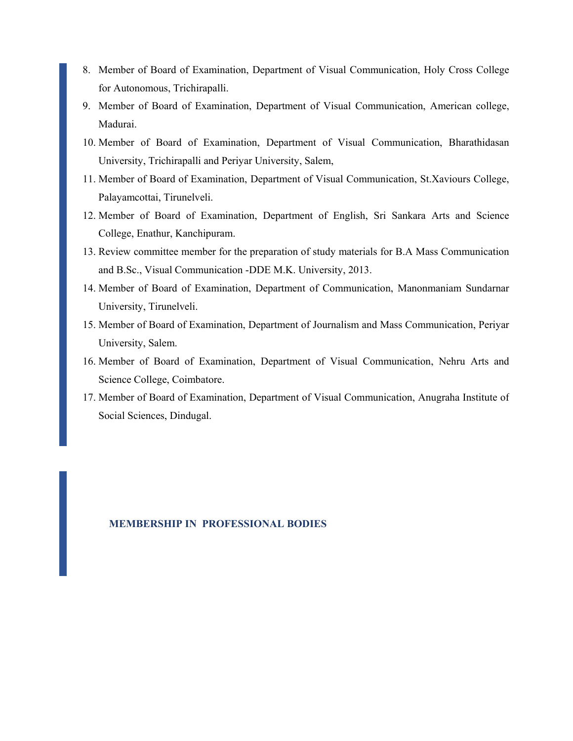- 8. Member of Board of Examination, Department of Visual Communication, Holy Cross College for Autonomous, Trichirapalli.
- 9. Member of Board of Examination, Department of Visual Communication, American college, Madurai.
- 10. Member of Board of Examination, Department of Visual Communication, Bharathidasan University, Trichirapalli and Periyar University, Salem,
- 11. Member of Board of Examination, Department of Visual Communication, St.Xaviours College, Palayamcottai, Tirunelveli.
- 12. Member of Board of Examination, Department of English, Sri Sankara Arts and Science College, Enathur, Kanchipuram.
- 13. Review committee member for the preparation of study materials for B.A Mass Communication and B.Sc., Visual Communication -DDE M.K. University, 2013.
- 14. Member of Board of Examination, Department of Communication, Manonmaniam Sundarnar University, Tirunelveli.
- 15. Member of Board of Examination, Department of Journalism and Mass Communication, Periyar University, Salem.
- 16. Member of Board of Examination, Department of Visual Communication, Nehru Arts and Science College, Coimbatore.
- 17. Member of Board of Examination, Department of Visual Communication, Anugraha Institute of Social Sciences, Dindugal.

#### **MEMBERSHIP IN PROFESSIONAL BODIES**